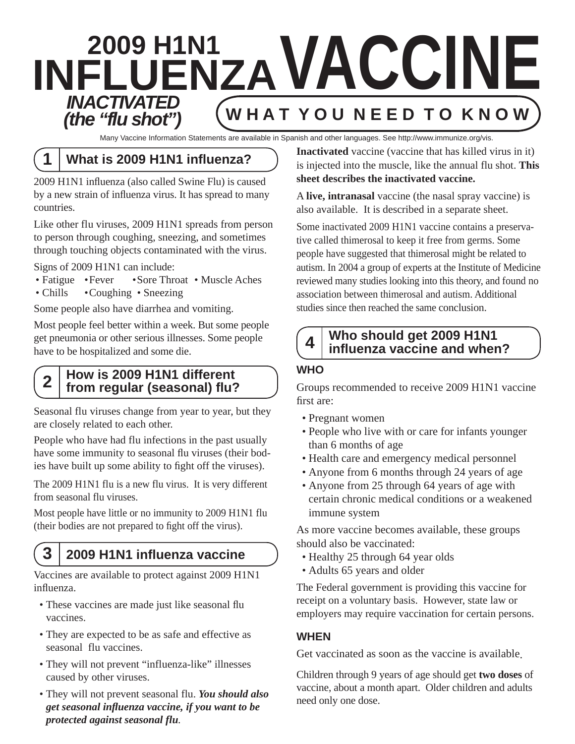# **2009 H1N1 INFLUENZA V ACCINE INACTIVATED Y O U N E E D T O K N O W** *(the "flu shot")*

Many Vaccine Information Statements are available in Spanish and other languages. See http://www.immunize.org/vis.

## **1 What is 2009 H1N1 influenza?**

2009 H1N1 influenza (also called Swine Flu) is caused by a new strain of influenza virus. It has spread to many countries.

Like other flu viruses, 2009 H1N1 spreads from person to person through coughing, sneezing, and sometimes through touching objects contaminated with the virus.

Signs of 2009 H1N1 can include:

- Fatigue Fever Sore Throat Muscle Aches
- Chills Coughing Sneezing

Some people also have diarrhea and vomiting.

Most people feel better within a week. But some people get pneumonia or other serious illnesses. Some people have to be hospitalized and some die.

### **2 How is 2009 H1N1 different from regular (seasonal) flu?**

Seasonal flu viruses change from year to year, but they are closely related to each other.

People who have had flu infections in the past usually have some immunity to seasonal flu viruses (their bodies have built up some ability to fight off the viruses).

The 2009 H1N1 flu is a new flu virus. It is very different from seasonal flu viruses.

Most people have little or no immunity to 2009 H1N1 flu (their bodies are not prepared to fight off the virus).

## **3 2009 H1N1 infl uenza vaccine**

Vaccines are available to protect against 2009 H1N1 influenza.

- These vaccines are made just like seasonal flu vaccines.
- They are expected to be as safe and effective as seasonal flu vaccines.
- They will not prevent "influenza-like" illnesses caused by other viruses.
- They will not prevent seasonal flu. *You should also get seasonal influenza vaccine, if you want to be protected against seasonal flu.*

**Inactivated** vaccine (vaccine that has killed virus in it) is injected into the muscle, like the annual flu shot. **This sheet describes the inactivated vaccine.** 

A **live, intranasal** vaccine (the nasal spray vaccine) is also available. It is described in a separate sheet.

Some inactivated 2009 H1N1 vaccine contains a preservative called thimerosal to keep it free from germs. Some people have suggested that thimerosal might be related to autism. In 2004 a group of experts at the Institute of Medicine reviewed many studies looking into this theory, and found no association between thimerosal and autism. Additional studies since then reached the same conclusion.

### **4 Who should get 2009 H1N1 influenza vaccine and when?**

### **WHO**

Groups recommended to receive 2009 H1N1 vaccine first are:

- Pregnant women
- People who live with or care for infants younger than 6 months of age
- Health care and emergency medical personnel
- Anyone from 6 months through 24 years of age
- Anyone from 25 through 64 years of age with certain chronic medical conditions or a weakened immune system

As more vaccine becomes available, these groups should also be vaccinated:

- Healthy 25 through 64 year olds
- Adults 65 years and older

The Federal government is providing this vaccine for receipt on a voluntary basis. However, state law or employers may require vaccination for certain persons.

### **WHEN**

Get vaccinated as soon as the vaccine is available.

Children through 9 years of age should get **two doses** of vaccine, about a month apart. Older children and adults need only one dose.